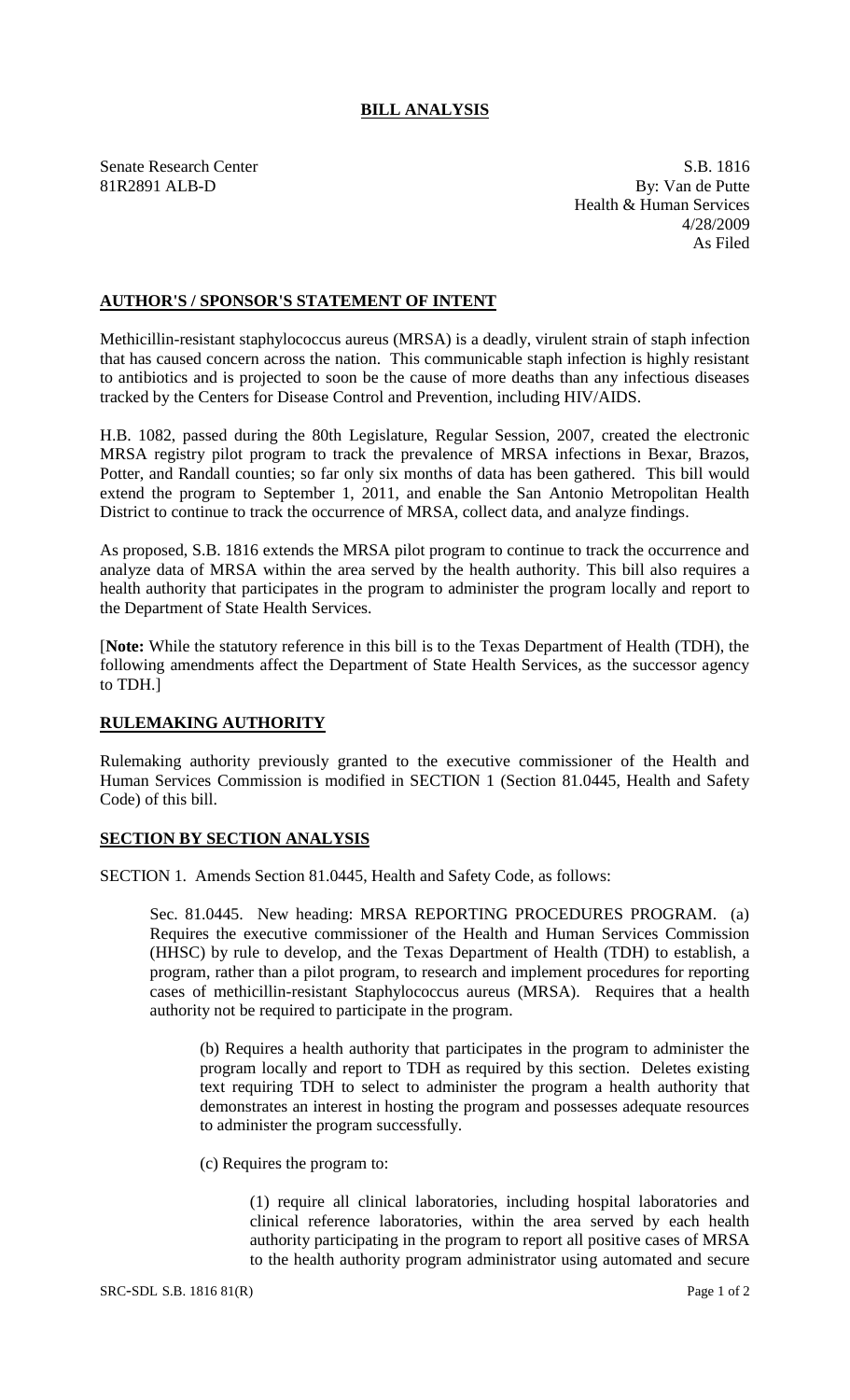## **BILL ANALYSIS**

Senate Research Center S.B. 1816 81R2891 ALB-D By: Van de Putte Health & Human Services 4/28/2009 As Filed

## **AUTHOR'S / SPONSOR'S STATEMENT OF INTENT**

Methicillin-resistant staphylococcus aureus (MRSA) is a deadly, virulent strain of staph infection that has caused concern across the nation. This communicable staph infection is highly resistant to antibiotics and is projected to soon be the cause of more deaths than any infectious diseases tracked by the Centers for Disease Control and Prevention, including HIV/AIDS.

H.B. 1082, passed during the 80th Legislature, Regular Session, 2007, created the electronic MRSA registry pilot program to track the prevalence of MRSA infections in Bexar, Brazos, Potter, and Randall counties; so far only six months of data has been gathered. This bill would extend the program to September 1, 2011, and enable the San Antonio Metropolitan Health District to continue to track the occurrence of MRSA, collect data, and analyze findings.

As proposed, S.B. 1816 extends the MRSA pilot program to continue to track the occurrence and analyze data of MRSA within the area served by the health authority. This bill also requires a health authority that participates in the program to administer the program locally and report to the Department of State Health Services.

[**Note:** While the statutory reference in this bill is to the Texas Department of Health (TDH), the following amendments affect the Department of State Health Services, as the successor agency to TDH.]

## **RULEMAKING AUTHORITY**

Rulemaking authority previously granted to the executive commissioner of the Health and Human Services Commission is modified in SECTION 1 (Section 81.0445, Health and Safety Code) of this bill.

## **SECTION BY SECTION ANALYSIS**

SECTION 1. Amends Section 81.0445, Health and Safety Code, as follows:

Sec. 81.0445. New heading: MRSA REPORTING PROCEDURES PROGRAM. (a) Requires the executive commissioner of the Health and Human Services Commission (HHSC) by rule to develop, and the Texas Department of Health (TDH) to establish, a program, rather than a pilot program, to research and implement procedures for reporting cases of methicillin-resistant Staphylococcus aureus (MRSA). Requires that a health authority not be required to participate in the program.

(b) Requires a health authority that participates in the program to administer the program locally and report to TDH as required by this section. Deletes existing text requiring TDH to select to administer the program a health authority that demonstrates an interest in hosting the program and possesses adequate resources to administer the program successfully.

(c) Requires the program to:

(1) require all clinical laboratories, including hospital laboratories and clinical reference laboratories, within the area served by each health authority participating in the program to report all positive cases of MRSA to the health authority program administrator using automated and secure